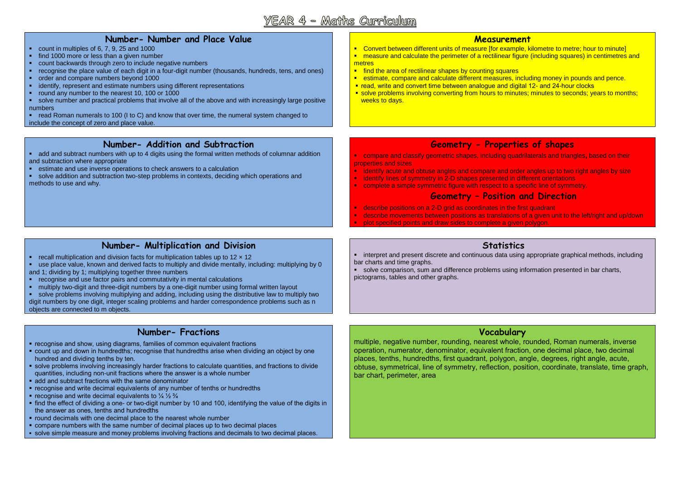# $YEAR$  4 - Matths Curriculum

#### **Number- Number and Place Value**

- count in multiples of 6, 7, 9, 25 and 1000
- $\blacksquare$  find 1000 more or less than a given number
- count backwards through zero to include negative numbers
- recognise the place value of each digit in a four-digit number (thousands, hundreds, tens, and ones)
- order and compare numbers beyond 1000
- **EXT** identify, represent and estimate numbers using different representations
- round any number to the nearest 10, 100 or 1000
- solve number and practical problems that involve all of the above and with increasingly large positive numbers
- read Roman numerals to 100 (I to C) and know that over time, the numeral system changed to include the concept of zero and place value.

#### **Number- Addition and Subtraction**

- add and subtract numbers with up to 4 digits using the formal written methods of columnar addition and subtraction where appropriate
- estimate and use inverse operations to check answers to a calculation
- solve addition and subtraction two-step problems in contexts, deciding which operations and methods to use and why.

### **Number- Multiplication and Division**

- recall multiplication and division facts for multiplication tables up to  $12 \times 12$
- use place value, known and derived facts to multiply and divide mentally, including: multiplying by 0 and 1; dividing by 1; multiplying together three numbers
- recognise and use factor pairs and commutativity in mental calculations
- multiply two-digit and three-digit numbers by a one-digit number using formal written layout
- solve problems involving multiplying and adding, including using the distributive law to multiply two digit numbers by one digit, integer scaling problems and harder correspondence problems such as n objects are connected to m objects.

### **Number- Fractions**

- recognise and show, using diagrams, families of common equivalent fractions
- count up and down in hundredths; recognise that hundredths arise when dividing an object by one hundred and dividing tenths by ten.
- solve problems involving increasingly harder fractions to calculate quantities, and fractions to divide quantities, including non-unit fractions where the answer is a whole number
- add and subtract fractions with the same denominator
- recognise and write decimal equivalents of any number of tenths or hundredths
- **recognise and write decimal equivalents to**  $\frac{1}{4} \frac{1}{2} \frac{3}{4}$
- find the effect of dividing a one- or two-digit number by 10 and 100, identifying the value of the digits in the answer as ones, tenths and hundredths
- round decimals with one decimal place to the nearest whole number
- compare numbers with the same number of decimal places up to two decimal places
- solve simple measure and money problems involving fractions and decimals to two decimal places.

#### **Measurement**

- **•** Convert between different units of measure [for example, kilometre to metre; hour to minute]
- **EXECUTER 1999 FOR THE EXECUTER IS CONCOCOLLED THE EXECUTER** in centimetres and **metres**
- **find the area of rectilinear shapes by counting squares**
- estimate, compare and calculate different measures, including money in pounds and pence.
- read, write and convert time between analogue and digital 12- and 24-hour clocks
- solve problems involving converting from hours to minutes; minutes to seconds; years to months; weeks to days.

#### **Geometry - Properties of shapes**

- compare and classify geometric shapes, including quadrilaterals and triangles**,** based on their properties and sizes
- identify acute and obtuse angles and compare and order angles up to two right angles by size
- **EXECUTE:** identify lines of symmetry in 2-D shapes presented in different orientations
- complete a simple symmetric figure with respect to a specific line of symmetry.

#### **Geometry – Position and Direction**

- describe positions on a 2-D grid as coordinates in the first quadrant
- describe movements between positions as translations of a given unit to the left/right and up/down
- plot specified points and draw sides to complete a given polygon.

#### **Statistics**

- interpret and present discrete and continuous data using appropriate graphical methods, including bar charts and time graphs.
- solve comparison, sum and difference problems using information presented in bar charts, pictograms, tables and other graphs.

#### **Vocabulary**

multiple, negative number, rounding, nearest whole, rounded, Roman numerals, inverse operation, numerator, denominator, equivalent fraction, one decimal place, two decimal places, tenths, hundredths, first quadrant, polygon, angle, degrees, right angle, acute, obtuse, symmetrical, line of symmetry, reflection, position, coordinate, translate, time graph, bar chart, perimeter, area